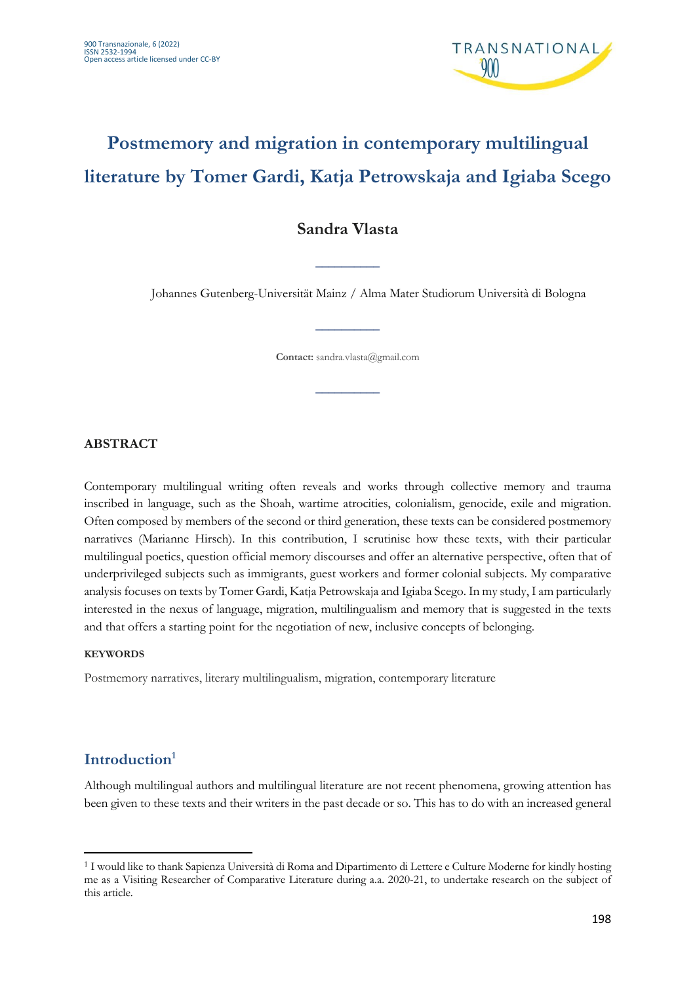

# **Postmemory and migration in contemporary multilingual literature by Tomer Gardi, Katja Petrowskaja and Igiaba Scego**

## **Sandra Vlasta**

\_\_\_\_\_\_\_\_\_\_

Johannes Gutenberg-Universität Mainz / Alma Mater Studiorum Università di Bologna

**Contact:** sandra.vlasta@gmail.com

\_\_\_\_\_\_\_\_\_\_

\_\_\_\_\_\_\_\_\_\_

#### **ABSTRACT**

Contemporary multilingual writing often reveals and works through collective memory and trauma inscribed in language, such as the Shoah, wartime atrocities, colonialism, genocide, exile and migration. Often composed by members of the second or third generation, these texts can be considered postmemory narratives (Marianne Hirsch). In this contribution, I scrutinise how these texts, with their particular multilingual poetics, question official memory discourses and offer an alternative perspective, often that of underprivileged subjects such as immigrants, guest workers and former colonial subjects. My comparative analysis focuses on texts by Tomer Gardi, Katja Petrowskaja and Igiaba Scego. In my study, I am particularly interested in the nexus of language, migration, multilingualism and memory that is suggested in the texts and that offers a starting point for the negotiation of new, inclusive concepts of belonging.

#### **KEYWORDS**

Postmemory narratives, literary multilingualism, migration, contemporary literature

### **Introduction1**

Although multilingual authors and multilingual literature are not recent phenomena, growing attention has been given to these texts and their writers in the past decade or so. This has to do with an increased general

<sup>1</sup> I would like to thank Sapienza Università di Roma and Dipartimento di Lettere e Culture Moderne for kindly hosting me as a Visiting Researcher of Comparative Literature during a.a. 2020-21, to undertake research on the subject of this article.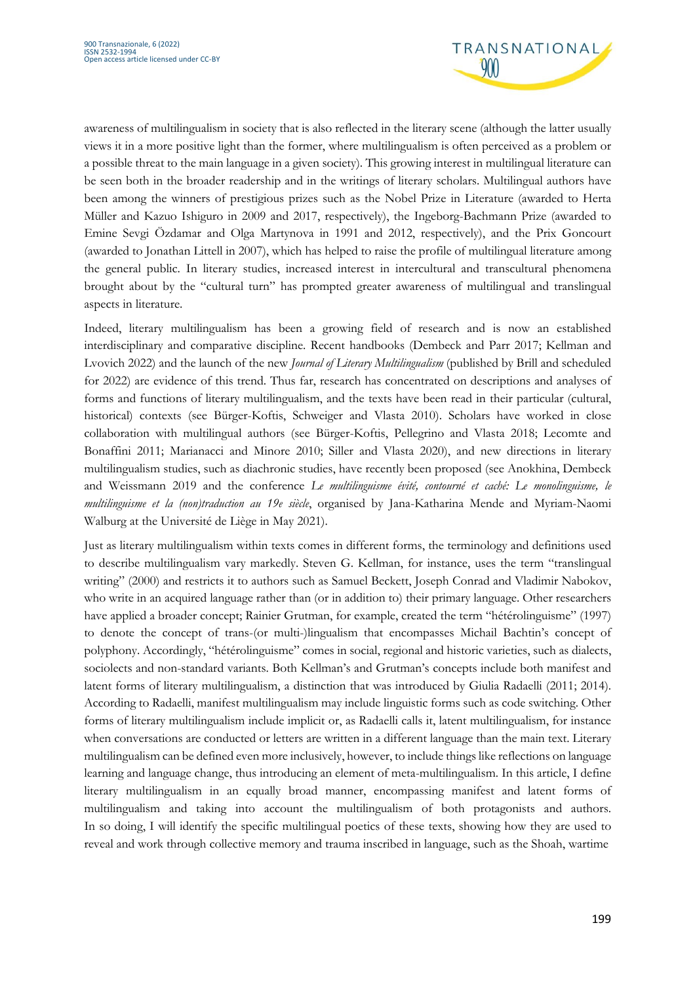

awareness of multilingualism in society that is also reflected in the literary scene (although the latter usually views it in a more positive light than the former, where multilingualism is often perceived as a problem or a possible threat to the main language in a given society). This growing interest in multilingual literature can be seen both in the broader readership and in the writings of literary scholars. Multilingual authors have been among the winners of prestigious prizes such as the Nobel Prize in Literature (awarded to Herta Müller and Kazuo Ishiguro in 2009 and 2017, respectively), the Ingeborg-Bachmann Prize (awarded to Emine Sevgi Özdamar and Olga Martynova in 1991 and 2012, respectively), and the Prix Goncourt (awarded to Jonathan Littell in 2007), which has helped to raise the profile of multilingual literature among the general public. In literary studies, increased interest in intercultural and transcultural phenomena brought about by the "cultural turn" has prompted greater awareness of multilingual and translingual aspects in literature.

Indeed, literary multilingualism has been a growing field of research and is now an established interdisciplinary and comparative discipline. Recent handbooks (Dembeck and Parr 2017; Kellman and Lvovich 2022) and the launch of the new *Journal of Literary Multilingualism* (published by Brill and scheduled for 2022) are evidence of this trend. Thus far, research has concentrated on descriptions and analyses of forms and functions of literary multilingualism, and the texts have been read in their particular (cultural, historical) contexts (see Bürger-Koftis, Schweiger and Vlasta 2010). Scholars have worked in close collaboration with multilingual authors (see Bürger-Koftis, Pellegrino and Vlasta 2018; Lecomte and Bonaffini 2011; Marianacci and Minore 2010; Siller and Vlasta 2020), and new directions in literary multilingualism studies, such as diachronic studies, have recently been proposed (see Anokhina, Dembeck and Weissmann 2019 and the conference *Le multilinguisme évité, contourné et caché: Le monolinguisme, le multilinguisme et la (non)traduction au 19e siècle*, organised by Jana-Katharina Mende and Myriam-Naomi Walburg at the Université de Liège in May 2021).

Just as literary multilingualism within texts comes in different forms, the terminology and definitions used to describe multilingualism vary markedly. Steven G. Kellman, for instance, uses the term "translingual writing" (2000) and restricts it to authors such as Samuel Beckett, Joseph Conrad and Vladimir Nabokov, who write in an acquired language rather than (or in addition to) their primary language. Other researchers have applied a broader concept; Rainier Grutman, for example, created the term "hétérolinguisme" (1997) to denote the concept of trans-(or multi-)lingualism that encompasses Michail Bachtin's concept of polyphony. Accordingly, "hétérolinguisme" comes in social, regional and historic varieties, such as dialects, sociolects and non-standard variants. Both Kellman's and Grutman's concepts include both manifest and latent forms of literary multilingualism, a distinction that was introduced by Giulia Radaelli (2011; 2014). According to Radaelli, manifest multilingualism may include linguistic forms such as code switching. Other forms of literary multilingualism include implicit or, as Radaelli calls it, latent multilingualism, for instance when conversations are conducted or letters are written in a different language than the main text. Literary multilingualism can be defined even more inclusively, however, to include things like reflections on language learning and language change, thus introducing an element of meta-multilingualism. In this article, I define literary multilingualism in an equally broad manner, encompassing manifest and latent forms of multilingualism and taking into account the multilingualism of both protagonists and authors. In so doing, I will identify the specific multilingual poetics of these texts, showing how they are used to reveal and work through collective memory and trauma inscribed in language, such as the Shoah, wartime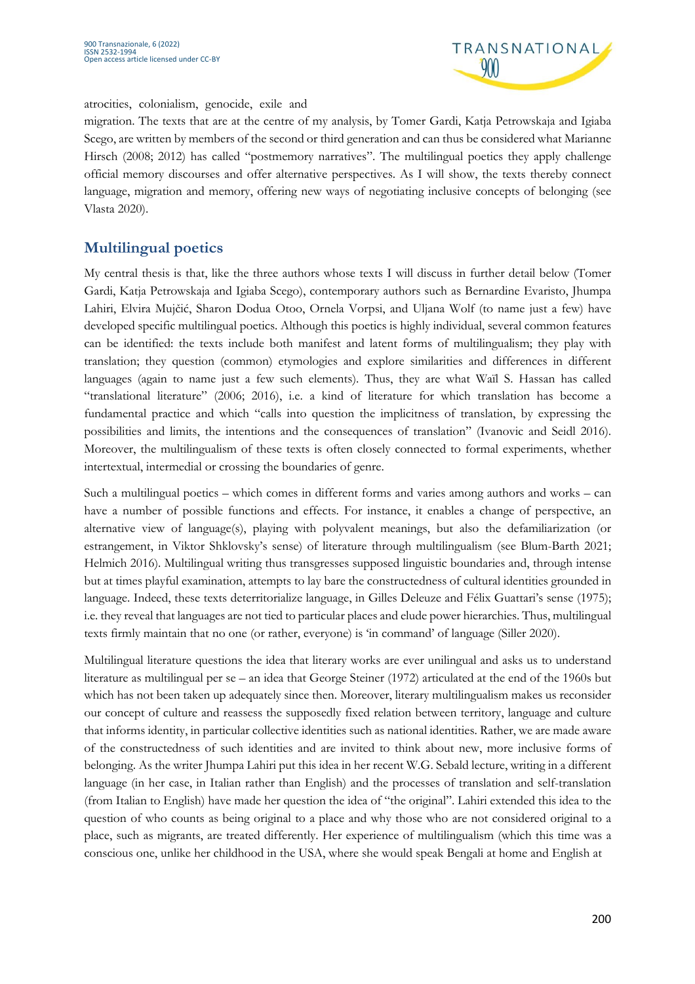

#### atrocities, colonialism, genocide, exile and

migration. The texts that are at the centre of my analysis, by Tomer Gardi, Katja Petrowskaja and Igiaba Scego, are written by members of the second or third generation and can thus be considered what Marianne Hirsch (2008; 2012) has called "postmemory narratives". The multilingual poetics they apply challenge official memory discourses and offer alternative perspectives. As I will show, the texts thereby connect language, migration and memory, offering new ways of negotiating inclusive concepts of belonging (see Vlasta 2020).

## **Multilingual poetics**

My central thesis is that, like the three authors whose texts I will discuss in further detail below (Tomer Gardi, Katja Petrowskaja and Igiaba Scego), contemporary authors such as Bernardine Evaristo, Jhumpa Lahiri, Elvira Mujčić, Sharon Dodua Otoo, Ornela Vorpsi, and Uljana Wolf (to name just a few) have developed specific multilingual poetics. Although this poetics is highly individual, several common features can be identified: the texts include both manifest and latent forms of multilingualism; they play with translation; they question (common) etymologies and explore similarities and differences in different languages (again to name just a few such elements). Thus, they are what Waïl S. Hassan has called "translational literature" (2006; 2016), i.e. a kind of literature for which translation has become a fundamental practice and which "calls into question the implicitness of translation, by expressing the possibilities and limits, the intentions and the consequences of translation" (Ivanovic and Seidl 2016). Moreover, the multilingualism of these texts is often closely connected to formal experiments, whether intertextual, intermedial or crossing the boundaries of genre.

Such a multilingual poetics – which comes in different forms and varies among authors and works – can have a number of possible functions and effects. For instance, it enables a change of perspective, an alternative view of language(s), playing with polyvalent meanings, but also the defamiliarization (or estrangement, in Viktor Shklovsky's sense) of literature through multilingualism (see Blum-Barth 2021; Helmich 2016). Multilingual writing thus transgresses supposed linguistic boundaries and, through intense but at times playful examination, attempts to lay bare the constructedness of cultural identities grounded in language. Indeed, these texts deterritorialize language, in Gilles Deleuze and Félix Guattari's sense (1975); i.e. they reveal that languages are not tied to particular places and elude power hierarchies. Thus, multilingual texts firmly maintain that no one (or rather, everyone) is 'in command' of language (Siller 2020).

Multilingual literature questions the idea that literary works are ever unilingual and asks us to understand literature as multilingual per se – an idea that George Steiner (1972) articulated at the end of the 1960s but which has not been taken up adequately since then. Moreover, literary multilingualism makes us reconsider our concept of culture and reassess the supposedly fixed relation between territory, language and culture that informs identity, in particular collective identities such as national identities. Rather, we are made aware of the constructedness of such identities and are invited to think about new, more inclusive forms of belonging. As the writer Jhumpa Lahiri put this idea in her recent W.G. Sebald lecture, writing in a different language (in her case, in Italian rather than English) and the processes of translation and self-translation (from Italian to English) have made her question the idea of "the original". Lahiri extended this idea to the question of who counts as being original to a place and why those who are not considered original to a place, such as migrants, are treated differently. Her experience of multilingualism (which this time was a conscious one, unlike her childhood in the USA, where she would speak Bengali at home and English at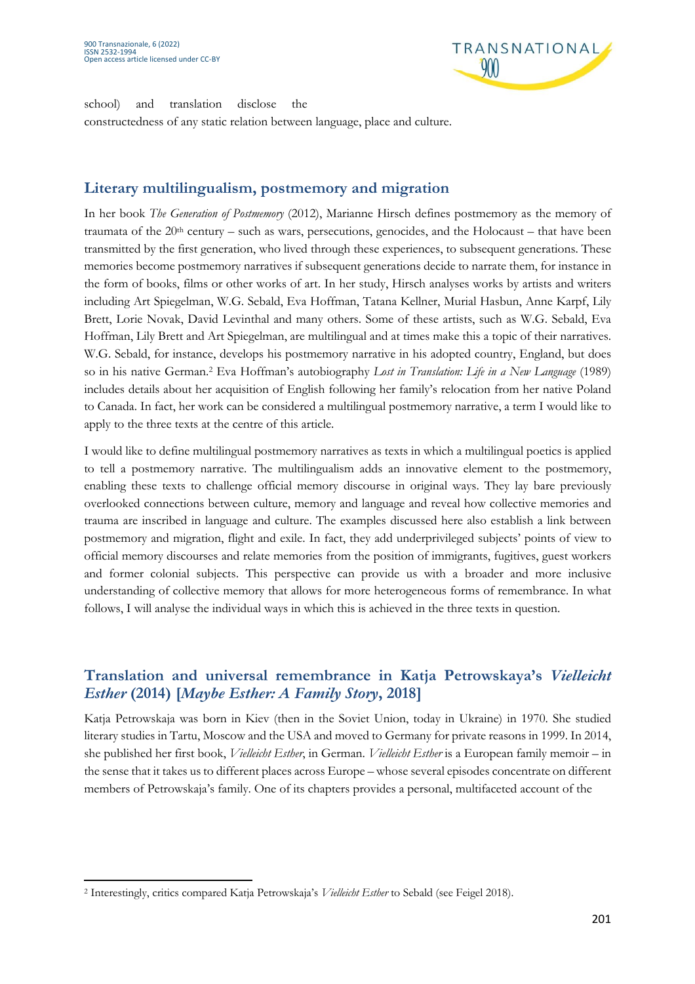

school) and translation disclose the constructedness of any static relation between language, place and culture.

### **Literary multilingualism, postmemory and migration**

In her book *The Generation of Postmemory* (2012), Marianne Hirsch defines postmemory as the memory of traumata of the  $20<sup>th</sup>$  century – such as wars, persecutions, genocides, and the Holocaust – that have been transmitted by the first generation, who lived through these experiences, to subsequent generations. These memories become postmemory narratives if subsequent generations decide to narrate them, for instance in the form of books, films or other works of art. In her study, Hirsch analyses works by artists and writers including Art Spiegelman, W.G. Sebald, Eva Hoffman, Tatana Kellner, Murial Hasbun, Anne Karpf, Lily Brett, Lorie Novak, David Levinthal and many others. Some of these artists, such as W.G. Sebald, Eva Hoffman, Lily Brett and Art Spiegelman, are multilingual and at times make this a topic of their narratives. W.G. Sebald, for instance, develops his postmemory narrative in his adopted country, England, but does so in his native German.2 Eva Hoffman's autobiography *Lost in Translation: Life in a New Language* (1989) includes details about her acquisition of English following her family's relocation from her native Poland to Canada. In fact, her work can be considered a multilingual postmemory narrative, a term I would like to apply to the three texts at the centre of this article.

I would like to define multilingual postmemory narratives as texts in which a multilingual poetics is applied to tell a postmemory narrative. The multilingualism adds an innovative element to the postmemory, enabling these texts to challenge official memory discourse in original ways. They lay bare previously overlooked connections between culture, memory and language and reveal how collective memories and trauma are inscribed in language and culture. The examples discussed here also establish a link between postmemory and migration, flight and exile. In fact, they add underprivileged subjects' points of view to official memory discourses and relate memories from the position of immigrants, fugitives, guest workers and former colonial subjects. This perspective can provide us with a broader and more inclusive understanding of collective memory that allows for more heterogeneous forms of remembrance. In what follows, I will analyse the individual ways in which this is achieved in the three texts in question.

## **Translation and universal remembrance in Katja Petrowskaya's** *Vielleicht Esther* **(2014) [***Maybe Esther: A Family Story***, 2018]**

Katja Petrowskaja was born in Kiev (then in the Soviet Union, today in Ukraine) in 1970. She studied literary studies in Tartu, Moscow and the USA and moved to Germany for private reasons in 1999. In 2014, she published her first book, *Vielleicht Esther*, in German. *Vielleicht Esther* is a European family memoir – in the sense that it takes us to different places across Europe – whose several episodes concentrate on different members of Petrowskaja's family. One of its chapters provides a personal, multifaceted account of the

<sup>2</sup> Interestingly, critics compared Katja Petrowskaja's *Vielleicht Esther* to Sebald (see Feigel 2018).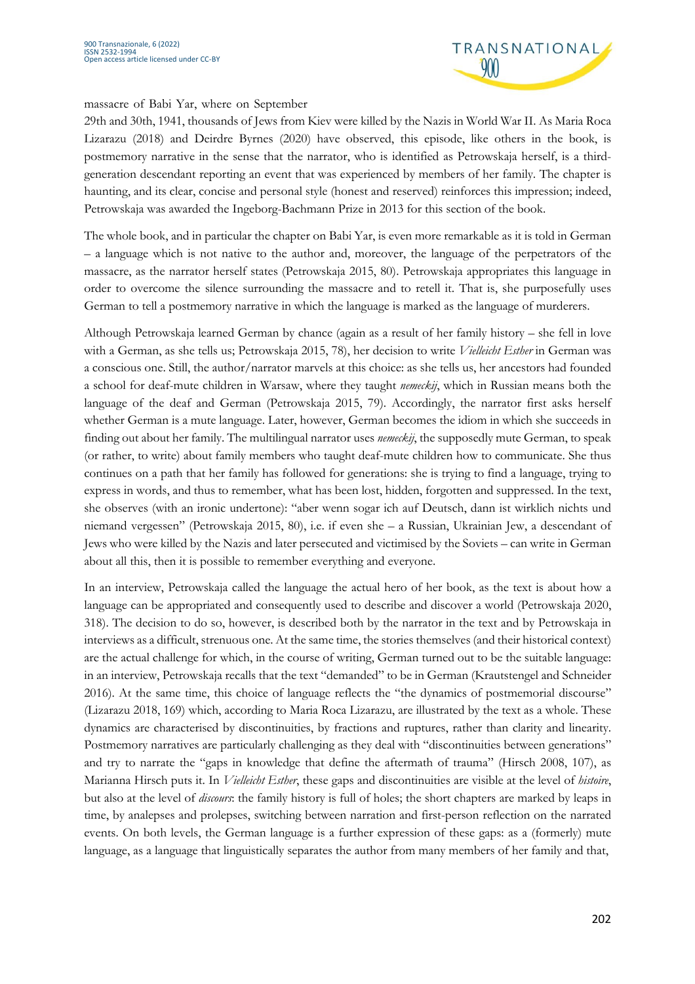

#### massacre of Babi Yar, where on September

29th and 30th, 1941, thousands of Jews from Kiev were killed by the Nazis in World War II. As Maria Roca Lizarazu (2018) and Deirdre Byrnes (2020) have observed, this episode, like others in the book, is postmemory narrative in the sense that the narrator, who is identified as Petrowskaja herself, is a thirdgeneration descendant reporting an event that was experienced by members of her family. The chapter is haunting, and its clear, concise and personal style (honest and reserved) reinforces this impression; indeed, Petrowskaja was awarded the Ingeborg-Bachmann Prize in 2013 for this section of the book.

The whole book, and in particular the chapter on Babi Yar, is even more remarkable as it is told in German – a language which is not native to the author and, moreover, the language of the perpetrators of the massacre, as the narrator herself states (Petrowskaja 2015, 80). Petrowskaja appropriates this language in order to overcome the silence surrounding the massacre and to retell it. That is, she purposefully uses German to tell a postmemory narrative in which the language is marked as the language of murderers.

Although Petrowskaja learned German by chance (again as a result of her family history – she fell in love with a German, as she tells us; Petrowskaja 2015, 78), her decision to write *Vielleicht Esther* in German was a conscious one. Still, the author/narrator marvels at this choice: as she tells us, her ancestors had founded a school for deaf-mute children in Warsaw, where they taught *nemeckij*, which in Russian means both the language of the deaf and German (Petrowskaja 2015, 79). Accordingly, the narrator first asks herself whether German is a mute language. Later, however, German becomes the idiom in which she succeeds in finding out about her family. The multilingual narrator uses *nemeckij*, the supposedly mute German, to speak (or rather, to write) about family members who taught deaf-mute children how to communicate. She thus continues on a path that her family has followed for generations: she is trying to find a language, trying to express in words, and thus to remember, what has been lost, hidden, forgotten and suppressed. In the text, she observes (with an ironic undertone): "aber wenn sogar ich auf Deutsch, dann ist wirklich nichts und niemand vergessen" (Petrowskaja 2015, 80), i.e. if even she – a Russian, Ukrainian Jew, a descendant of Jews who were killed by the Nazis and later persecuted and victimised by the Soviets – can write in German about all this, then it is possible to remember everything and everyone.

In an interview, Petrowskaja called the language the actual hero of her book, as the text is about how a language can be appropriated and consequently used to describe and discover a world (Petrowskaja 2020, 318). The decision to do so, however, is described both by the narrator in the text and by Petrowskaja in interviews as a difficult, strenuous one. At the same time, the stories themselves (and their historical context) are the actual challenge for which, in the course of writing, German turned out to be the suitable language: in an interview, Petrowskaja recalls that the text "demanded" to be in German (Krautstengel and Schneider 2016). At the same time, this choice of language reflects the "the dynamics of postmemorial discourse" (Lizarazu 2018, 169) which, according to Maria Roca Lizarazu, are illustrated by the text as a whole. These dynamics are characterised by discontinuities, by fractions and ruptures, rather than clarity and linearity. Postmemory narratives are particularly challenging as they deal with "discontinuities between generations" and try to narrate the "gaps in knowledge that define the aftermath of trauma" (Hirsch 2008, 107), as Marianna Hirsch puts it. In *Vielleicht Esther*, these gaps and discontinuities are visible at the level of *histoire*, but also at the level of *discours*: the family history is full of holes; the short chapters are marked by leaps in time, by analepses and prolepses, switching between narration and first-person reflection on the narrated events. On both levels, the German language is a further expression of these gaps: as a (formerly) mute language, as a language that linguistically separates the author from many members of her family and that,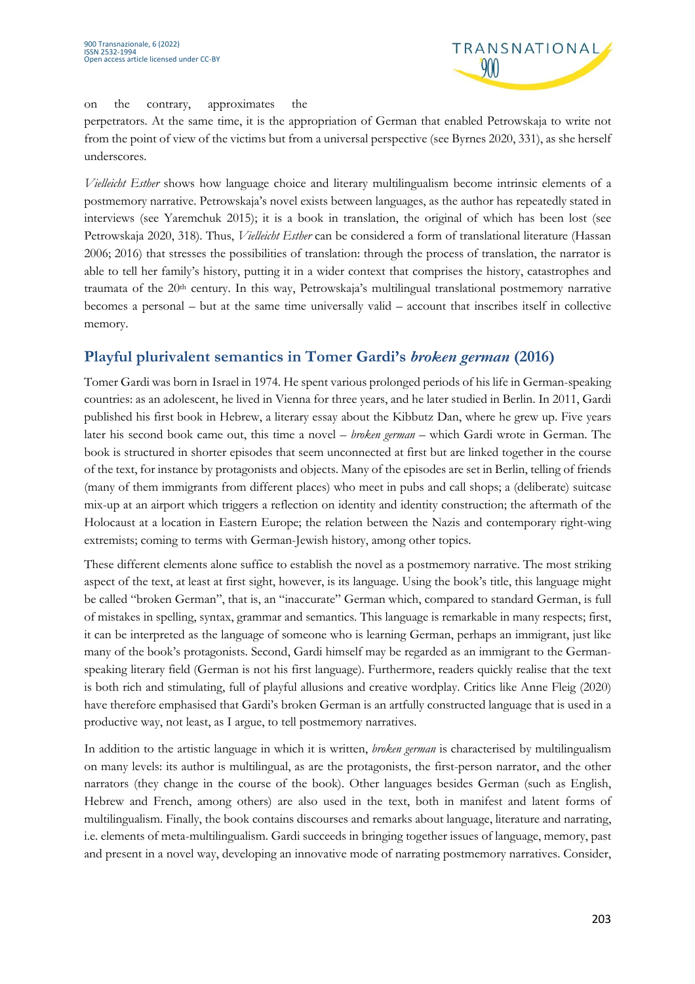

#### on the contrary, approximates the

perpetrators. At the same time, it is the appropriation of German that enabled Petrowskaja to write not from the point of view of the victims but from a universal perspective (see Byrnes 2020, 331), as she herself underscores.

*Vielleicht Esther* shows how language choice and literary multilingualism become intrinsic elements of a postmemory narrative. Petrowskaja's novel exists between languages, as the author has repeatedly stated in interviews (see Yaremchuk 2015); it is a book in translation, the original of which has been lost (see Petrowskaja 2020, 318). Thus, *Vielleicht Esther* can be considered a form of translational literature (Hassan 2006; 2016) that stresses the possibilities of translation: through the process of translation, the narrator is able to tell her family's history, putting it in a wider context that comprises the history, catastrophes and traumata of the 20th century. In this way, Petrowskaja's multilingual translational postmemory narrative becomes a personal – but at the same time universally valid – account that inscribes itself in collective memory.

## **Playful plurivalent semantics in Tomer Gardi's** *broken german* **(2016)**

Tomer Gardi was born in Israel in 1974. He spent various prolonged periods of his life in German-speaking countries: as an adolescent, he lived in Vienna for three years, and he later studied in Berlin. In 2011, Gardi published his first book in Hebrew, a literary essay about the Kibbutz Dan, where he grew up. Five years later his second book came out, this time a novel – *broken german* – which Gardi wrote in German. The book is structured in shorter episodes that seem unconnected at first but are linked together in the course of the text, for instance by protagonists and objects. Many of the episodes are set in Berlin, telling of friends (many of them immigrants from different places) who meet in pubs and call shops; a (deliberate) suitcase mix-up at an airport which triggers a reflection on identity and identity construction; the aftermath of the Holocaust at a location in Eastern Europe; the relation between the Nazis and contemporary right-wing extremists; coming to terms with German-Jewish history, among other topics.

These different elements alone suffice to establish the novel as a postmemory narrative. The most striking aspect of the text, at least at first sight, however, is its language. Using the book's title, this language might be called "broken German", that is, an "inaccurate" German which, compared to standard German, is full of mistakes in spelling, syntax, grammar and semantics. This language is remarkable in many respects; first, it can be interpreted as the language of someone who is learning German, perhaps an immigrant, just like many of the book's protagonists. Second, Gardi himself may be regarded as an immigrant to the Germanspeaking literary field (German is not his first language). Furthermore, readers quickly realise that the text is both rich and stimulating, full of playful allusions and creative wordplay. Critics like Anne Fleig (2020) have therefore emphasised that Gardi's broken German is an artfully constructed language that is used in a productive way, not least, as I argue, to tell postmemory narratives.

In addition to the artistic language in which it is written, *broken german* is characterised by multilingualism on many levels: its author is multilingual, as are the protagonists, the first-person narrator, and the other narrators (they change in the course of the book). Other languages besides German (such as English, Hebrew and French, among others) are also used in the text, both in manifest and latent forms of multilingualism. Finally, the book contains discourses and remarks about language, literature and narrating, i.e. elements of meta-multilingualism. Gardi succeeds in bringing together issues of language, memory, past and present in a novel way, developing an innovative mode of narrating postmemory narratives. Consider,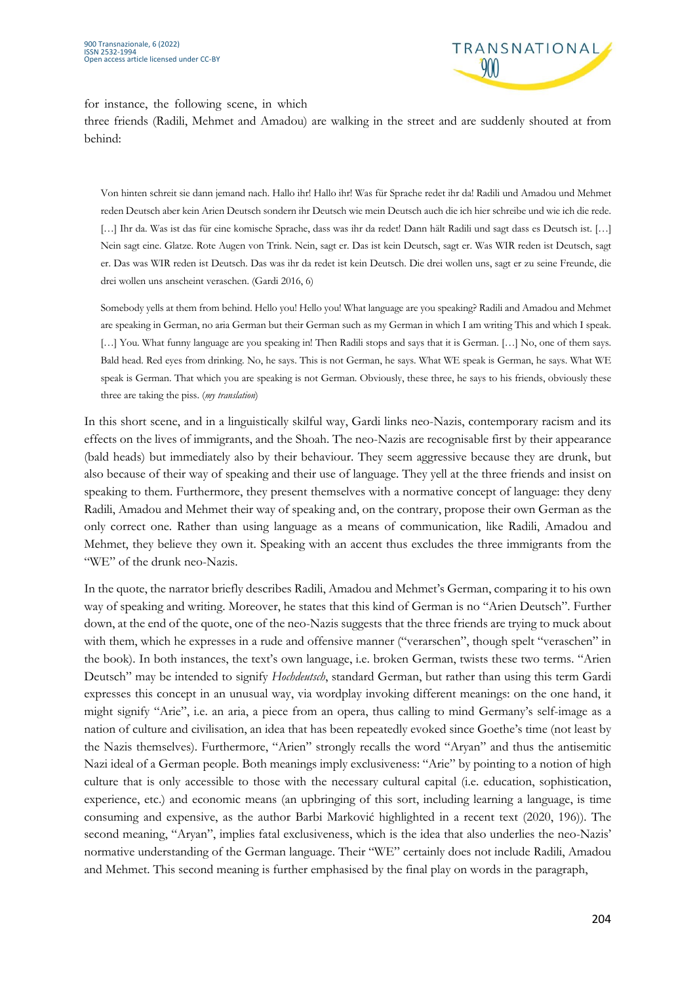

for instance, the following scene, in which

three friends (Radili, Mehmet and Amadou) are walking in the street and are suddenly shouted at from behind:

Von hinten schreit sie dann jemand nach. Hallo ihr! Hallo ihr! Was für Sprache redet ihr da! Radili und Amadou und Mehmet reden Deutsch aber kein Arien Deutsch sondern ihr Deutsch wie mein Deutsch auch die ich hier schreibe und wie ich die rede. [...] Ihr da. Was ist das für eine komische Sprache, dass was ihr da redet! Dann hält Radili und sagt dass es Deutsch ist. [...] Nein sagt eine. Glatze. Rote Augen von Trink. Nein, sagt er. Das ist kein Deutsch, sagt er. Was WIR reden ist Deutsch, sagt er. Das was WIR reden ist Deutsch. Das was ihr da redet ist kein Deutsch. Die drei wollen uns, sagt er zu seine Freunde, die drei wollen uns anscheint veraschen. (Gardi 2016, 6)

Somebody yells at them from behind. Hello you! Hello you! What language are you speaking? Radili and Amadou and Mehmet are speaking in German, no aria German but their German such as my German in which I am writing This and which I speak. [...] You. What funny language are you speaking in! Then Radili stops and says that it is German. [...] No, one of them says. Bald head. Red eyes from drinking. No, he says. This is not German, he says. What WE speak is German, he says. What WE speak is German. That which you are speaking is not German. Obviously, these three, he says to his friends, obviously these three are taking the piss. (*my translation*)

In this short scene, and in a linguistically skilful way, Gardi links neo-Nazis, contemporary racism and its effects on the lives of immigrants, and the Shoah. The neo-Nazis are recognisable first by their appearance (bald heads) but immediately also by their behaviour. They seem aggressive because they are drunk, but also because of their way of speaking and their use of language. They yell at the three friends and insist on speaking to them. Furthermore, they present themselves with a normative concept of language: they deny Radili, Amadou and Mehmet their way of speaking and, on the contrary, propose their own German as the only correct one. Rather than using language as a means of communication, like Radili, Amadou and Mehmet, they believe they own it. Speaking with an accent thus excludes the three immigrants from the "WE" of the drunk neo-Nazis.

In the quote, the narrator briefly describes Radili, Amadou and Mehmet's German, comparing it to his own way of speaking and writing. Moreover, he states that this kind of German is no "Arien Deutsch". Further down, at the end of the quote, one of the neo-Nazis suggests that the three friends are trying to muck about with them, which he expresses in a rude and offensive manner ("verarschen", though spelt "veraschen" in the book). In both instances, the text's own language, i.e. broken German, twists these two terms. "Arien Deutsch" may be intended to signify *Hochdeutsch*, standard German, but rather than using this term Gardi expresses this concept in an unusual way, via wordplay invoking different meanings: on the one hand, it might signify "Arie", i.e. an aria, a piece from an opera, thus calling to mind Germany's self-image as a nation of culture and civilisation, an idea that has been repeatedly evoked since Goethe's time (not least by the Nazis themselves). Furthermore, "Arien" strongly recalls the word "Aryan" and thus the antisemitic Nazi ideal of a German people. Both meanings imply exclusiveness: "Arie" by pointing to a notion of high culture that is only accessible to those with the necessary cultural capital (i.e. education, sophistication, experience, etc.) and economic means (an upbringing of this sort, including learning a language, is time consuming and expensive, as the author Barbi Marković highlighted in a recent text (2020, 196)). The second meaning, "Aryan", implies fatal exclusiveness, which is the idea that also underlies the neo-Nazis' normative understanding of the German language. Their "WE" certainly does not include Radili, Amadou and Mehmet. This second meaning is further emphasised by the final play on words in the paragraph,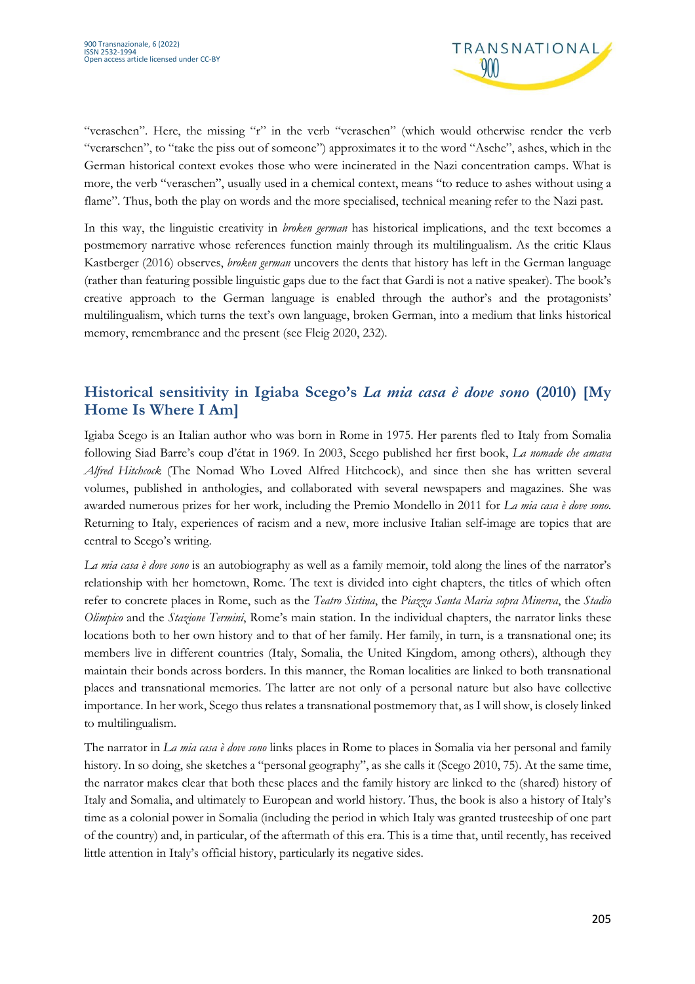

"veraschen". Here, the missing "r" in the verb "veraschen" (which would otherwise render the verb "verarschen", to "take the piss out of someone") approximates it to the word "Asche", ashes, which in the German historical context evokes those who were incinerated in the Nazi concentration camps. What is more, the verb "veraschen", usually used in a chemical context, means "to reduce to ashes without using a flame". Thus, both the play on words and the more specialised, technical meaning refer to the Nazi past.

In this way, the linguistic creativity in *broken german* has historical implications, and the text becomes a postmemory narrative whose references function mainly through its multilingualism. As the critic Klaus Kastberger (2016) observes, *broken german* uncovers the dents that history has left in the German language (rather than featuring possible linguistic gaps due to the fact that Gardi is not a native speaker). The book's creative approach to the German language is enabled through the author's and the protagonists' multilingualism, which turns the text's own language, broken German, into a medium that links historical memory, remembrance and the present (see Fleig 2020, 232).

# **Historical sensitivity in Igiaba Scego's** *La mia casa è dove sono* **(2010) [My Home Is Where I Am]**

Igiaba Scego is an Italian author who was born in Rome in 1975. Her parents fled to Italy from Somalia following Siad Barre's coup d'état in 1969. In 2003, Scego published her first book, *La nomade che amava Alfred Hitchcock* (The Nomad Who Loved Alfred Hitchcock), and since then she has written several volumes, published in anthologies, and collaborated with several newspapers and magazines. She was awarded numerous prizes for her work, including the Premio Mondello in 2011 for *La mia casa è dove sono*. Returning to Italy, experiences of racism and a new, more inclusive Italian self-image are topics that are central to Scego's writing.

*La mia casa è dove sono* is an autobiography as well as a family memoir, told along the lines of the narrator's relationship with her hometown, Rome. The text is divided into eight chapters, the titles of which often refer to concrete places in Rome, such as the *Teatro Sistina*, the *Piazza Santa Maria sopra Minerva*, the *Stadio Olimpico* and the *Stazione Termini*, Rome's main station. In the individual chapters, the narrator links these locations both to her own history and to that of her family. Her family, in turn, is a transnational one; its members live in different countries (Italy, Somalia, the United Kingdom, among others), although they maintain their bonds across borders. In this manner, the Roman localities are linked to both transnational places and transnational memories. The latter are not only of a personal nature but also have collective importance. In her work, Scego thus relates a transnational postmemory that, as I will show, is closely linked to multilingualism.

The narrator in *La mia casa è dove sono* links places in Rome to places in Somalia via her personal and family history. In so doing, she sketches a "personal geography", as she calls it (Scego 2010, 75). At the same time, the narrator makes clear that both these places and the family history are linked to the (shared) history of Italy and Somalia, and ultimately to European and world history. Thus, the book is also a history of Italy's time as a colonial power in Somalia (including the period in which Italy was granted trusteeship of one part of the country) and, in particular, of the aftermath of this era. This is a time that, until recently, has received little attention in Italy's official history, particularly its negative sides.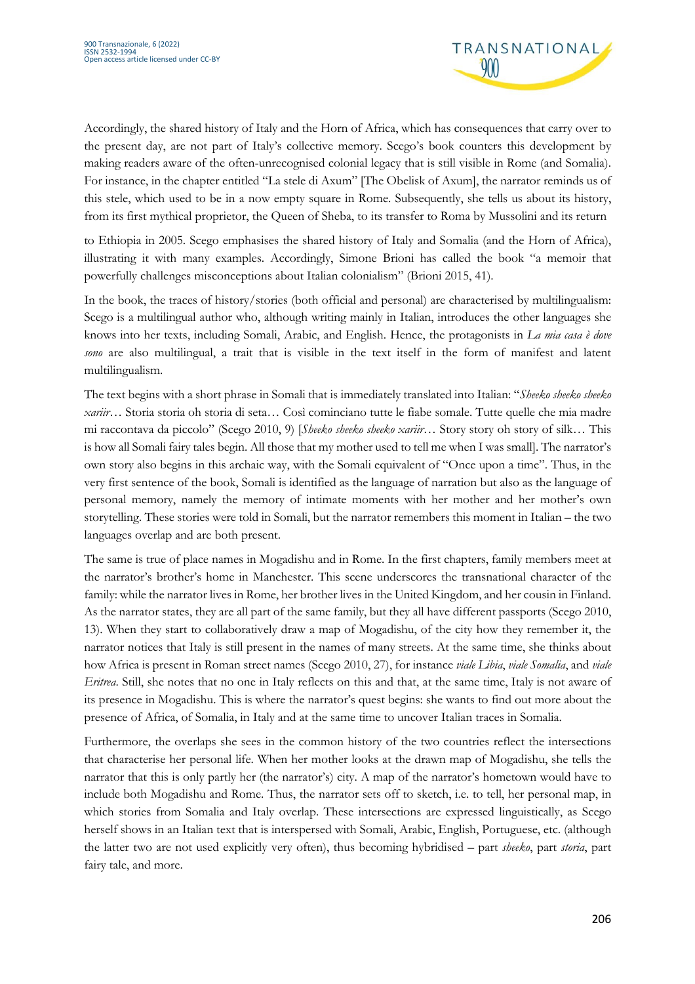

Accordingly, the shared history of Italy and the Horn of Africa, which has consequences that carry over to the present day, are not part of Italy's collective memory. Scego's book counters this development by making readers aware of the often-unrecognised colonial legacy that is still visible in Rome (and Somalia). For instance, in the chapter entitled "La stele di Axum" [The Obelisk of Axum], the narrator reminds us of this stele, which used to be in a now empty square in Rome. Subsequently, she tells us about its history, from its first mythical proprietor, the Queen of Sheba, to its transfer to Roma by Mussolini and its return

to Ethiopia in 2005. Scego emphasises the shared history of Italy and Somalia (and the Horn of Africa), illustrating it with many examples. Accordingly, Simone Brioni has called the book "a memoir that powerfully challenges misconceptions about Italian colonialism" (Brioni 2015, 41).

In the book, the traces of history/stories (both official and personal) are characterised by multilingualism: Scego is a multilingual author who, although writing mainly in Italian, introduces the other languages she knows into her texts, including Somali, Arabic, and English. Hence, the protagonists in *La mia casa è dove sono* are also multilingual, a trait that is visible in the text itself in the form of manifest and latent multilingualism.

The text begins with a short phrase in Somali that is immediately translated into Italian: "*Sheeko sheeko sheeko xariir*… Storia storia oh storia di seta… Così cominciano tutte le fiabe somale. Tutte quelle che mia madre mi raccontava da piccolo" (Scego 2010, 9) [*Sheeko sheeko sheeko xariir*… Story story oh story of silk… This is how all Somali fairy tales begin. All those that my mother used to tell me when I was small]. The narrator's own story also begins in this archaic way, with the Somali equivalent of "Once upon a time". Thus, in the very first sentence of the book, Somali is identified as the language of narration but also as the language of personal memory, namely the memory of intimate moments with her mother and her mother's own storytelling. These stories were told in Somali, but the narrator remembers this moment in Italian – the two languages overlap and are both present.

The same is true of place names in Mogadishu and in Rome. In the first chapters, family members meet at the narrator's brother's home in Manchester. This scene underscores the transnational character of the family: while the narrator lives in Rome, her brother lives in the United Kingdom, and her cousin in Finland. As the narrator states, they are all part of the same family, but they all have different passports (Scego 2010, 13). When they start to collaboratively draw a map of Mogadishu, of the city how they remember it, the narrator notices that Italy is still present in the names of many streets. At the same time, she thinks about how Africa is present in Roman street names (Scego 2010, 27), for instance *viale Libia*, *viale Somalia*, and *viale Eritrea*. Still, she notes that no one in Italy reflects on this and that, at the same time, Italy is not aware of its presence in Mogadishu. This is where the narrator's quest begins: she wants to find out more about the presence of Africa, of Somalia, in Italy and at the same time to uncover Italian traces in Somalia.

Furthermore, the overlaps she sees in the common history of the two countries reflect the intersections that characterise her personal life. When her mother looks at the drawn map of Mogadishu, she tells the narrator that this is only partly her (the narrator's) city. A map of the narrator's hometown would have to include both Mogadishu and Rome. Thus, the narrator sets off to sketch, i.e. to tell, her personal map, in which stories from Somalia and Italy overlap. These intersections are expressed linguistically, as Scego herself shows in an Italian text that is interspersed with Somali, Arabic, English, Portuguese, etc. (although the latter two are not used explicitly very often), thus becoming hybridised – part *sheeko*, part *storia*, part fairy tale, and more.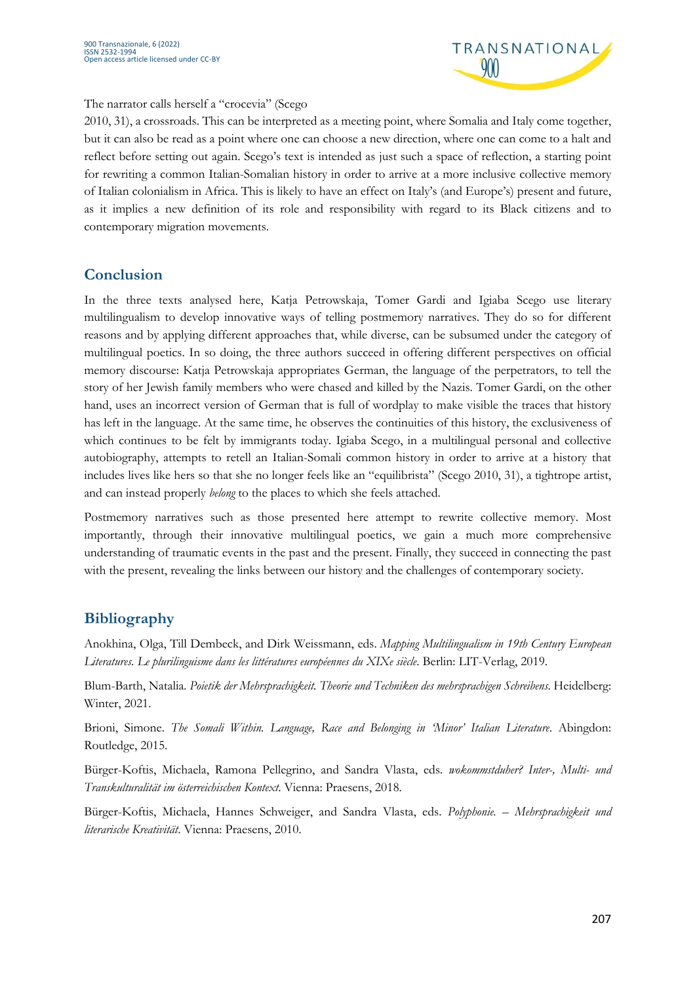

#### The narrator calls herself a "crocevia" (Scego

2010, 31), a crossroads. This can be interpreted as a meeting point, where Somalia and Italy come together, but it can also be read as a point where one can choose a new direction, where one can come to a halt and reflect before setting out again. Scego's text is intended as just such a space of reflection, a starting point for rewriting a common Italian-Somalian history in order to arrive at a more inclusive collective memory of Italian colonialism in Africa. This is likely to have an effect on Italy's (and Europe's) present and future, as it implies a new definition of its role and responsibility with regard to its Black citizens and to contemporary migration movements.

#### **Conclusion**

In the three texts analysed here, Katja Petrowskaja, Tomer Gardi and Igiaba Scego use literary multilingualism to develop innovative ways of telling postmemory narratives. They do so for different reasons and by applying different approaches that, while diverse, can be subsumed under the category of multilingual poetics. In so doing, the three authors succeed in offering different perspectives on official memory discourse: Katja Petrowskaja appropriates German, the language of the perpetrators, to tell the story of her Jewish family members who were chased and killed by the Nazis. Tomer Gardi, on the other hand, uses an incorrect version of German that is full of wordplay to make visible the traces that history has left in the language. At the same time, he observes the continuities of this history, the exclusiveness of which continues to be felt by immigrants today. Igiaba Scego, in a multilingual personal and collective autobiography, attempts to retell an Italian-Somali common history in order to arrive at a history that includes lives like hers so that she no longer feels like an "equilibrista" (Scego 2010, 31), a tightrope artist, and can instead properly *belong* to the places to which she feels attached.

Postmemory narratives such as those presented here attempt to rewrite collective memory. Most importantly, through their innovative multilingual poetics, we gain a much more comprehensive understanding of traumatic events in the past and the present. Finally, they succeed in connecting the past with the present, revealing the links between our history and the challenges of contemporary society.

### **Bibliography**

Anokhina, Olga, Till Dembeck, and Dirk Weissmann, eds. *Mapping Multilingualism in 19th Century European Literatures. Le plurilinguisme dans les littératures européennes du XIXe siècle*. Berlin: LIT-Verlag, 2019.

Blum-Barth, Natalia. *Poietik der Mehrsprachigkeit. Theorie und Techniken des mehrsprachigen Schreibens*. Heidelberg: Winter, 2021.

Brioni, Simone. *The Somali Within. Language, Race and Belonging in 'Minor' Italian Literature*. Abingdon: Routledge, 2015.

Bürger-Koftis, Michaela, Ramona Pellegrino, and Sandra Vlasta, eds. *wokommstduher? Inter-, Multi- und Transkulturalität im österreichischen Kontext*. Vienna: Praesens, 2018.

Bürger-Koftis, Michaela, Hannes Schweiger, and Sandra Vlasta, eds. *Polyphonie. – Mehrsprachigkeit und literarische Kreativität*. Vienna: Praesens, 2010.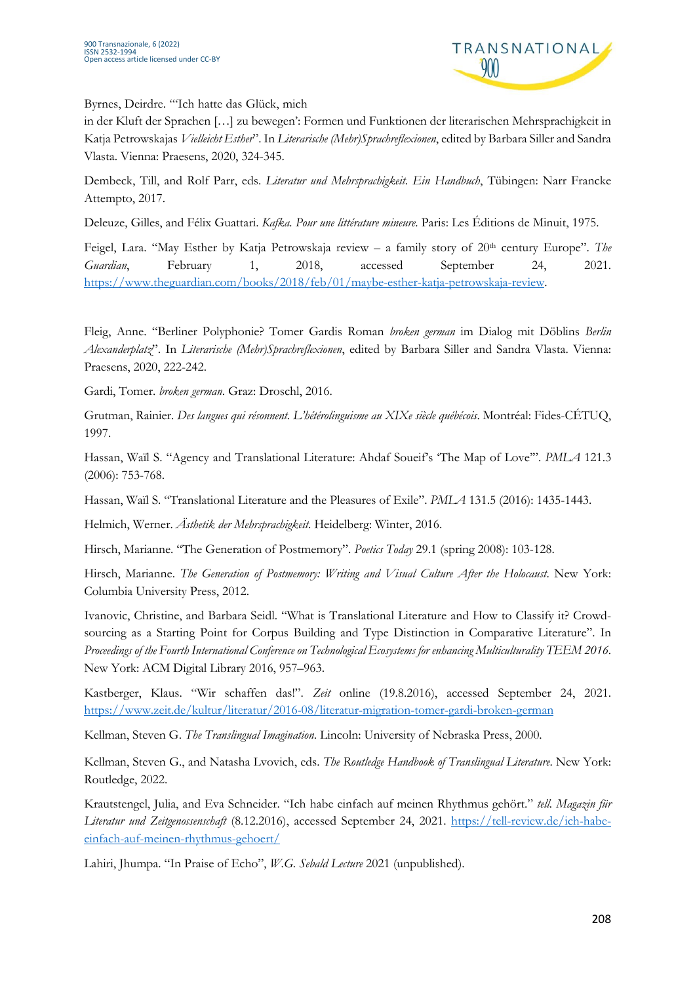

Byrnes, Deirdre. "'Ich hatte das Glück, mich

in der Kluft der Sprachen […] zu bewegen': Formen und Funktionen der literarischen Mehrsprachigkeit in Katja Petrowskajas *Vielleicht Esther*". In *Literarische (Mehr)Sprachreflexionen*, edited by Barbara Siller and Sandra Vlasta. Vienna: Praesens, 2020, 324-345.

Dembeck, Till, and Rolf Parr, eds. *Literatur und Mehrsprachigkeit. Ein Handbuch*, Tübingen: Narr Francke Attempto, 2017.

Deleuze, Gilles, and Félix Guattari. *Kafka. Pour une littérature mineure*. Paris: Les Éditions de Minuit, 1975.

Feigel, Lara. "May Esther by Katja Petrowskaja review – a family story of 20<sup>th</sup> century Europe". *The Guardian*, February 1, 2018, accessed September 24, 2021. https://www.theguardian.com/books/2018/feb/01/maybe-esther-katja-petrowskaja-review.

Fleig, Anne. "Berliner Polyphonie? Tomer Gardis Roman *broken german* im Dialog mit Döblins *Berlin Alexanderplatz*". In *Literarische (Mehr)Sprachreflexionen*, edited by Barbara Siller and Sandra Vlasta. Vienna: Praesens, 2020, 222-242.

Gardi, Tomer. *broken german*. Graz: Droschl, 2016.

Grutman, Rainier. *Des langues qui résonnent. L'hétérolinguisme au XIXe siècle québécois*. Montréal: Fides-CÉTUQ, 1997.

Hassan, Waïl S. "Agency and Translational Literature: Ahdaf Soueif's 'The Map of Love'". *PMLA* 121.3 (2006): 753-768.

Hassan, Waïl S. "Translational Literature and the Pleasures of Exile". *PMLA* 131.5 (2016): 1435-1443.

Helmich, Werner. *Ästhetik der Mehrsprachigkeit*. Heidelberg: Winter, 2016.

Hirsch, Marianne. "The Generation of Postmemory". *Poetics Today* 29.1 (spring 2008): 103-128.

Hirsch, Marianne. *The Generation of Postmemory: Writing and Visual Culture After the Holocaust*. New York: Columbia University Press, 2012.

Ivanovic, Christine, and Barbara Seidl. "What is Translational Literature and How to Classify it? Crowdsourcing as a Starting Point for Corpus Building and Type Distinction in Comparative Literature". In *Proceedings of the Fourth International Conference on Technological Ecosystems for enhancing Multiculturality TEEM 2016*. New York: ACM Digital Library 2016, 957–963.

Kastberger, Klaus. "Wir schaffen das!". *Zeit* online (19.8.2016), accessed September 24, 2021. https://www.zeit.de/kultur/literatur/2016-08/literatur-migration-tomer-gardi-broken-german

Kellman, Steven G. *The Translingual Imagination*. Lincoln: University of Nebraska Press, 2000.

Kellman, Steven G., and Natasha Lvovich, eds. *The Routledge Handbook of Translingual Literature*. New York: Routledge, 2022.

Krautstengel, Julia, and Eva Schneider. "Ich habe einfach auf meinen Rhythmus gehört." *tell. Magazin für Literatur und Zeitgenossenschaft* (8.12.2016), accessed September 24, 2021. https://tell-review.de/ich-habeeinfach-auf-meinen-rhythmus-gehoert/

Lahiri, Jhumpa. "In Praise of Echo", *W.G. Sebald Lecture* 2021 (unpublished).